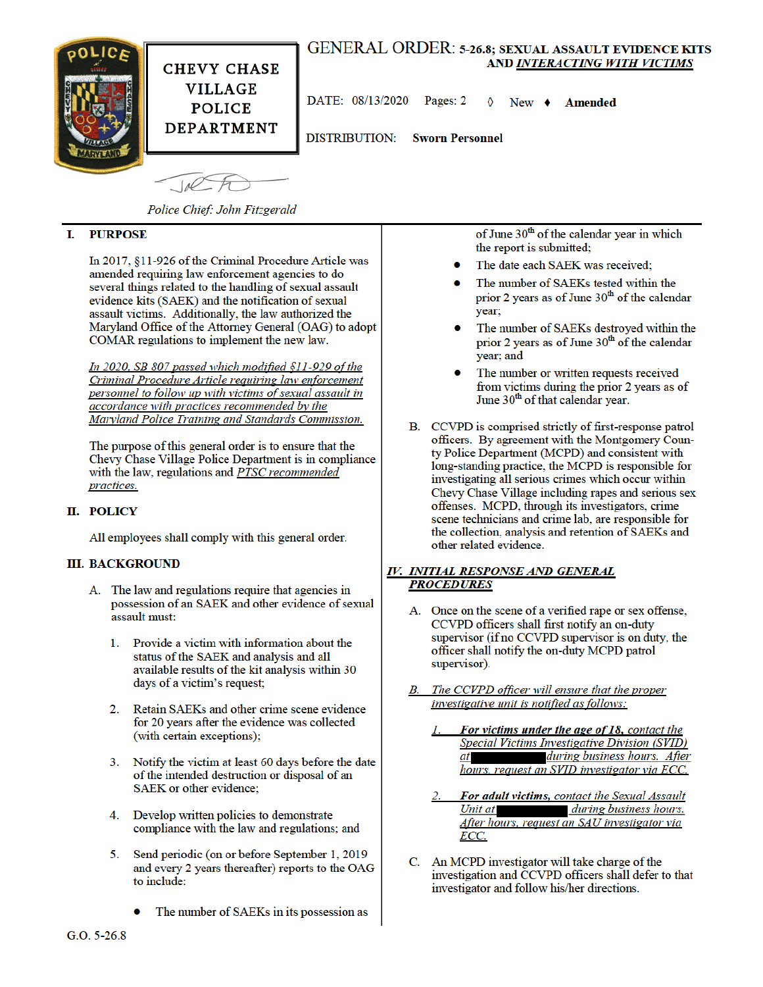

Police Chief: John Fitzgerald

#### **PURPOSE** L

In 2017, §11-926 of the Criminal Procedure Article was amended requiring law enforcement agencies to do several things related to the handling of sexual assault evidence kits (SAEK) and the notification of sexual assault victims. Additionally, the law authorized the Maryland Office of the Attorney General (OAG) to adopt COMAR regulations to implement the new law.

In 2020, SB 807 passed which modified  $$11-929$  of the Criminal Procedure Article requiring law enforcement personnel to follow up with victims of sexual assault in accordance with practices recommended by the Maryland Police Training and Standards Commission.

The purpose of this general order is to ensure that the Chevy Chase Village Police Department is in compliance with the law, regulations and PTSC recommended practices.

# II. POLICY

All employees shall comply with this general order.

## **III. BACKGROUND**

- A. The law and regulations require that agencies in possession of an SAEK and other evidence of sexual assault must:
	- Provide a victim with information about the  $\mathbf{1}$ status of the SAEK and analysis and all available results of the kit analysis within 30 days of a victim's request;
	- 2. Retain SAEKs and other crime scene evidence for 20 years after the evidence was collected (with certain exceptions);
	- Notify the victim at least 60 days before the date 3. of the intended destruction or disposal of an SAEK or other evidence:
	- 4. Develop written policies to demonstrate compliance with the law and regulations; and
	- Send periodic (on or before September 1, 2019 5. and every 2 years thereafter) reports to the OAG to include:
		- The number of SAEKs in its possession as

of June 30<sup>th</sup> of the calendar year in which the report is submitted;

- The date each SAEK was received;
- The number of SAEKs tested within the prior 2 years as of June  $30<sup>th</sup>$  of the calendar year;
- The number of SAEKs destroyed within the prior 2 years as of June  $30<sup>th</sup>$  of the calendar year; and
- The number or written requests received from victims during the prior 2 years as of June 30<sup>th</sup> of that calendar year.
- B. CCVPD is comprised strictly of first-response patrol officers. By agreement with the Montgomery County Police Department (MCPD) and consistent with long-standing practice, the MCPD is responsible for investigating all serious crimes which occur within Chevy Chase Village including rapes and serious sex offenses. MCPD, through its investigators, crime scene technicians and crime lab, are responsible for the collection, analysis and retention of SAEKs and other related evidence.

## IV. INITIAL RESPONSE AND GENERAL **PROCEDURES**

- A. Once on the scene of a verified rape or sex offense, CCVPD officers shall first notify an on-duty supervisor (if no CCVPD supervisor is on duty, the officer shall notify the on-duty MCPD patrol supervisor).
- The CCVPD officer will ensure that the proper **B**. investigative unit is notified as follows:
	- For victims under the age of 18, contact the Special Victims Investigative Division (SVID) during business hours. After  $at$ hours, request an SVID investigator via ECC.
	- For adult victims, contact the Sexual Assault Unit at during business hours. After hours, request an SAU investigator via ECC.
- C. An MCPD investigator will take charge of the investigation and CCVPD officers shall defer to that investigator and follow his/her directions.